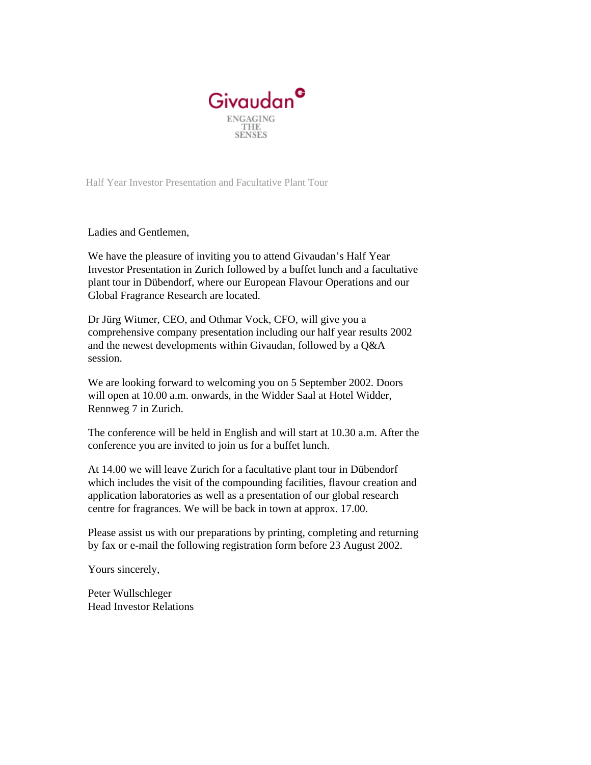

Half Year Investor Presentation and Facultative Plant Tour

Ladies and Gentlemen,

We have the pleasure of inviting you to attend Givaudan's Half Year Investor Presentation in Zurich followed by a buffet lunch and a facultative plant tour in Dübendorf, where our European Flavour Operations and our Global Fragrance Research are located.

Dr Jürg Witmer, CEO, and Othmar Vock, CFO, will give you a comprehensive company presentation including our half year results 2002 and the newest developments within Givaudan, followed by a Q&A session.

We are looking forward to welcoming you on 5 September 2002. Doors will open at 10.00 a.m. onwards, in the Widder Saal at Hotel Widder, Rennweg 7 in Zurich.

The conference will be held in English and will start at 10.30 a.m. After the conference you are invited to join us for a buffet lunch.

At 14.00 we will leave Zurich for a facultative plant tour in Dübendorf which includes the visit of the compounding facilities, flavour creation and application laboratories as well as a presentation of our global research centre for fragrances. We will be back in town at approx. 17.00.

Please assist us with our preparations by printing, completing and returning by fax or e-mail the following registration form before 23 August 2002.

Yours sincerely,

Peter Wullschleger Head Investor Relations